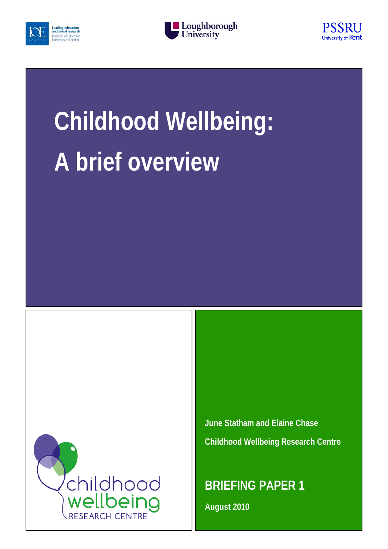





# **Childhood Wellbeing: A brief overview**



**June Statham and Elaine Chase Childhood Wellbeing Research Centre**

**BRIEFING PAPER 1**

**August 2010**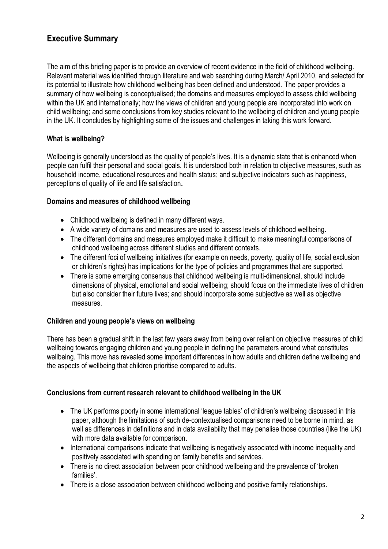# **Executive Summary**

The aim of this briefing paper is to provide an overview of recent evidence in the field of childhood wellbeing. Relevant material was identified through literature and web searching during March/ April 2010, and selected for its potential to illustrate how childhood wellbeing has been defined and understood**.** The paper provides a summary of how wellbeing is conceptualised; the domains and measures employed to assess child wellbeing within the UK and internationally; how the views of children and young people are incorporated into work on child wellbeing; and some conclusions from key studies relevant to the wellbeing of children and young people in the UK. It concludes by highlighting some of the issues and challenges in taking this work forward.

## **What is wellbeing?**

Wellbeing is generally understood as the quality of people's lives. It is a dynamic state that is enhanced when people can fulfil their personal and social goals. It is understood both in relation to objective measures, such as household income, educational resources and health status; and subjective indicators such as happiness, perceptions of quality of life and life satisfaction**.** 

## **Domains and measures of childhood wellbeing**

- Childhood wellbeing is defined in many different ways.
- A wide variety of domains and measures are used to assess levels of childhood wellbeing.
- The different domains and measures employed make it difficult to make meaningful comparisons of childhood wellbeing across different studies and different contexts.
- The different foci of wellbeing initiatives (for example on needs, poverty, quality of life, social exclusion or children's rights) has implications for the type of policies and programmes that are supported.
- There is some emerging consensus that childhood wellbeing is multi-dimensional, should include dimensions of physical, emotional and social wellbeing; should focus on the immediate lives of children but also consider their future lives; and should incorporate some subjective as well as objective measures.

#### **Children and young people's views on wellbeing**

There has been a gradual shift in the last few years away from being over reliant on objective measures of child wellbeing towards engaging children and young people in defining the parameters around what constitutes wellbeing. This move has revealed some important differences in how adults and children define wellbeing and the aspects of wellbeing that children prioritise compared to adults.

#### **Conclusions from current research relevant to childhood wellbeing in the UK**

- The UK performs poorly in some international 'league tables' of children's wellbeing discussed in this paper, although the limitations of such de-contextualised comparisons need to be borne in mind, as well as differences in definitions and in data availability that may penalise those countries (like the UK) with more data available for comparison.
- International comparisons indicate that wellbeing is negatively associated with income inequality and positively associated with spending on family benefits and services.
- There is no direct association between poor childhood wellbeing and the prevalence of 'broken' families'.
- There is a close association between childhood wellbeing and positive family relationships.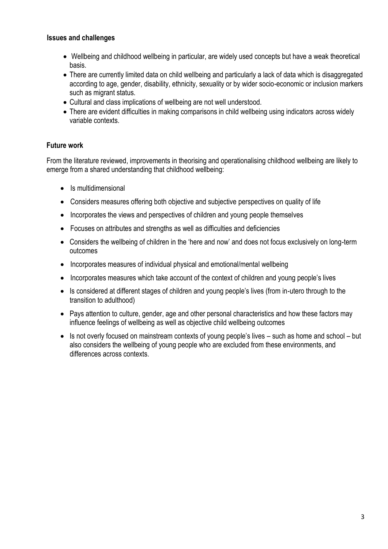#### **Issues and challenges**

- Wellbeing and childhood wellbeing in particular, are widely used concepts but have a weak theoretical basis.
- There are currently limited data on child wellbeing and particularly a lack of data which is disaggregated according to age, gender, disability, ethnicity, sexuality or by wider socio-economic or inclusion markers such as migrant status.
- Cultural and class implications of wellbeing are not well understood.
- There are evident difficulties in making comparisons in child wellbeing using indicators across widely variable contexts.

## **Future work**

From the literature reviewed, improvements in theorising and operationalising childhood wellbeing are likely to emerge from a shared understanding that childhood wellbeing:

- Is multidimensional
- Considers measures offering both objective and subjective perspectives on quality of life
- Incorporates the views and perspectives of children and young people themselves
- Focuses on attributes and strengths as well as difficulties and deficiencies
- Considers the wellbeing of children in the 'here and now' and does not focus exclusively on long-term outcomes
- Incorporates measures of individual physical and emotional/mental wellbeing
- Incorporates measures which take account of the context of children and young people's lives
- Is considered at different stages of children and young people's lives (from in-utero through to the transition to adulthood)
- Pays attention to culture, gender, age and other personal characteristics and how these factors may influence feelings of wellbeing as well as objective child wellbeing outcomes
- Is not overly focused on mainstream contexts of young people's lives such as home and school but also considers the wellbeing of young people who are excluded from these environments, and differences across contexts.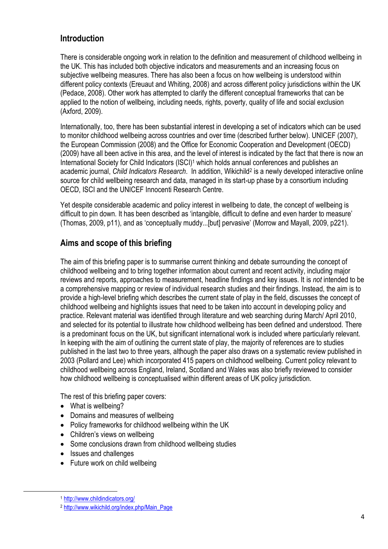## **Introduction**

There is considerable ongoing work in relation to the definition and measurement of childhood wellbeing in the UK. This has included both objective indicators and measurements and an increasing focus on subjective wellbeing measures. There has also been a focus on how wellbeing is understood within different policy contexts (Ereuaut and Whiting, 2008) and across different policy jurisdictions within the UK (Pedace, 2008). Other work has attempted to clarify the different conceptual frameworks that can be applied to the notion of wellbeing, including needs, rights, poverty, quality of life and social exclusion (Axford, 2009).

Internationally, too, there has been substantial interest in developing a set of indicators which can be used to monitor childhood wellbeing across countries and over time (described further below). UNICEF (2007), the European Commission (2008) and the Office for Economic Cooperation and Development (OECD) (2009) have all been active in this area, and the level of interest is indicated by the fact that there is now an International Society for Child Indicators (ISCI)<sup>1</sup> which holds annual conferences and publishes an academic journal, *Child Indicators Research*. In addition, Wikichild<sup>2</sup> is a newly developed interactive online source for child wellbeing research and data, managed in its start-up phase by a consortium including OECD, ISCI and the UNICEF Innocenti Research Centre.

Yet despite considerable academic and policy interest in wellbeing to date, the concept of wellbeing is difficult to pin down. It has been described as 'intangible, difficult to define and even harder to measure' (Thomas, 2009, p11), and as 'conceptually muddy...[but] pervasive' (Morrow and Mayall, 2009, p221).

# **Aims and scope of this briefing**

The aim of this briefing paper is to summarise current thinking and debate surrounding the concept of childhood wellbeing and to bring together information about current and recent activity, including major reviews and reports, approaches to measurement, headline findings and key issues. It is *not* intended to be a comprehensive mapping or review of individual research studies and their findings. Instead, the aim is to provide a high-level briefing which describes the current state of play in the field, discusses the concept of childhood wellbeing and highlights issues that need to be taken into account in developing policy and practice. Relevant material was identified through literature and web searching during March/ April 2010, and selected for its potential to illustrate how childhood wellbeing has been defined and understood. There is a predominant focus on the UK, but significant international work is included where particularly relevant. In keeping with the aim of outlining the current state of play, the majority of references are to studies published in the last two to three years, although the paper also draws on a systematic review published in 2003 (Pollard and Lee) which incorporated 415 papers on childhood wellbeing. Current policy relevant to childhood wellbeing across England, Ireland, Scotland and Wales was also briefly reviewed to consider how childhood wellbeing is conceptualised within different areas of UK policy jurisdiction.

The rest of this briefing paper covers:

- What is wellbeing?
- Domains and measures of wellbeing
- Policy frameworks for childhood wellbeing within the UK
- Children's views on wellbeing
- Some conclusions drawn from childhood wellbeing studies
- Issues and challenges
- Future work on child wellbeing

1

<sup>1</sup> <http://www.childindicators.org/>

<sup>2</sup> [http://www.wikichild.org/index.php/Main\\_Page](http://www.wikichild.org/index.php/Main_Page)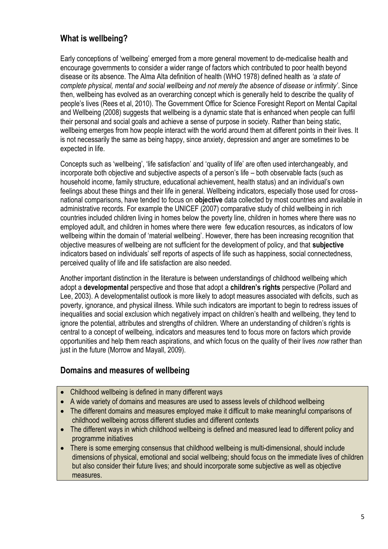# **What is wellbeing?**

Early conceptions of 'wellbeing' emerged from a more general movement to de-medicalise health and encourage governments to consider a wider range of factors which contributed to poor health beyond disease or its absence. The Alma Alta definition of health (WHO 1978) defined health as *'a state of complete physical, mental and social wellbeing and not merely the absence of disease or infirmity'*. Since then, wellbeing has evolved as an overarching concept which is generally held to describe the quality of people's lives (Rees et al, 2010). The Government Office for Science Foresight Report on Mental Capital and Wellbeing (2008) suggests that wellbeing is a dynamic state that is enhanced when people can fulfil their personal and social goals and achieve a sense of purpose in society. Rather than being static, wellbeing emerges from how people interact with the world around them at different points in their lives. It is not necessarily the same as being happy, since anxiety, depression and anger are sometimes to be expected in life.

Concepts such as 'wellbeing', 'life satisfaction' and 'quality of life' are often used interchangeably, and incorporate both objective and subjective aspects of a person's life – both observable facts (such as household income, family structure, educational achievement, health status) and an individual's own feelings about these things and their life in general. Wellbeing indicators, especially those used for crossnational comparisons, have tended to focus on **objective** data collected by most countries and available in administrative records. For example the UNICEF (2007) comparative study of child wellbeing in rich countries included children living in homes below the poverty line, children in homes where there was no employed adult, and children in homes where there were few education resources, as indicators of low wellbeing within the domain of 'material wellbeing'. However, there has been increasing recognition that objective measures of wellbeing are not sufficient for the development of policy, and that **subjective**  indicators based on individuals' self reports of aspects of life such as happiness, social connectedness, perceived quality of life and life satisfaction are also needed.

Another important distinction in the literature is between understandings of childhood wellbeing which adopt a **developmental** perspective and those that adopt a **children's rights** perspective (Pollard and Lee, 2003). A developmentalist outlook is more likely to adopt measures associated with deficits, such as poverty, ignorance, and physical illness. While such indicators are important to begin to redress issues of inequalities and social exclusion which negatively impact on children's health and wellbeing, they tend to ignore the potential, attributes and strengths of children. Where an understanding of children's rights is central to a concept of wellbeing, indicators and measures tend to focus more on factors which provide opportunities and help them reach aspirations, and which focus on the quality of their lives *now* rather than just in the future (Morrow and Mayall, 2009).

## **Domains and measures of wellbeing**

- Childhood wellbeing is defined in many different ways
- A wide variety of domains and measures are used to assess levels of childhood wellbeing
- The different domains and measures employed make it difficult to make meaningful comparisons of childhood wellbeing across different studies and different contexts
- The different ways in which childhood wellbeing is defined and measured lead to different policy and programme initiatives
- There is some emerging consensus that childhood wellbeing is multi-dimensional, should include dimensions of physical, emotional and social wellbeing; should focus on the immediate lives of children but also consider their future lives; and should incorporate some subjective as well as objective measures.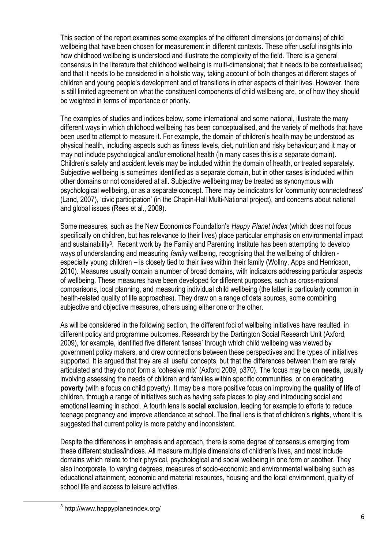This section of the report examines some examples of the different dimensions (or domains) of child wellbeing that have been chosen for measurement in different contexts. These offer useful insights into how childhood wellbeing is understood and illustrate the complexity of the field. There is a general consensus in the literature that childhood wellbeing is multi-dimensional; that it needs to be contextualised; and that it needs to be considered in a holistic way, taking account of both changes at different stages of children and young people's development and of transitions in other aspects of their lives. However, there is still limited agreement on what the constituent components of child wellbeing are, or of how they should be weighted in terms of importance or priority.

The examples of studies and indices below, some international and some national, illustrate the many different ways in which childhood wellbeing has been conceptualised, and the variety of methods that have been used to attempt to measure it. For example, the domain of children's health may be understood as physical health, including aspects such as fitness levels, diet, nutrition and risky behaviour; and it may or may not include psychological and/or emotional health (in many cases this is a separate domain). Children's safety and accident levels may be included within the domain of health, or treated separately. Subjective wellbeing is sometimes identified as a separate domain, but in other cases is included within other domains or not considered at all. Subjective wellbeing may be treated as synonymous with psychological wellbeing, or as a separate concept. There may be indicators for 'community connectedness' (Land, 2007), 'civic participation' (in the Chapin-Hall Multi-National project), and concerns about national and global issues (Rees et al., 2009).

Some measures, such as the New Economics Foundation's *Happy Planet Index* (which does not focus specifically on children, but has relevance to their lives) place particular emphasis on environmental impact and sustainability<sup>3</sup>. Recent work by the Family and Parenting Institute has been attempting to develop ways of understanding and measuring *family* wellbeing, recognising that the wellbeing of children especially young children – is closely tied to their lives within their family (Wollny, Apps and Henricson, 2010). Measures usually contain a number of broad domains, with indicators addressing particular aspects of wellbeing. These measures have been developed for different purposes, such as cross-national comparisons, local planning, and measuring individual child wellbeing (the latter is particularly common in health-related quality of life approaches). They draw on a range of data sources, some combining subjective and objective measures, others using either one or the other.

As will be considered in the following section, the different foci of wellbeing initiatives have resulted in different policy and programme outcomes. Research by the Dartington Social Research Unit (Axford, 2009), for example, identified five different 'lenses' through which child wellbeing was viewed by government policy makers, and drew connections between these perspectives and the types of initiatives supported. It is argued that they are all useful concepts, but that the differences between them are rarely articulated and they do not form a 'cohesive mix' (Axford 2009, p370). The focus may be on **needs**, usually involving assessing the needs of children and families within specific communities, or on eradicating **poverty** (with a focus on child poverty). It may be a more positive focus on improving the **quality of life** of children, through a range of initiatives such as having safe places to play and introducing social and emotional learning in school. A fourth lens is **social exclusion**, leading for example to efforts to reduce teenage pregnancy and improve attendance at school. The final lens is that of children's **rights**, where it is suggested that current policy is more patchy and inconsistent.

Despite the differences in emphasis and approach, there is some degree of consensus emerging from these different studies/indices. All measure multiple dimensions of children's lives, and most include domains which relate to their physical, psychological and social wellbeing in one form or another. They also incorporate, to varying degrees, measures of socio-economic and environmental wellbeing such as educational attainment, economic and material resources, housing and the local environment, quality of school life and access to leisure activities.

**.** 

<sup>3</sup> http://www.happyplanetindex.org/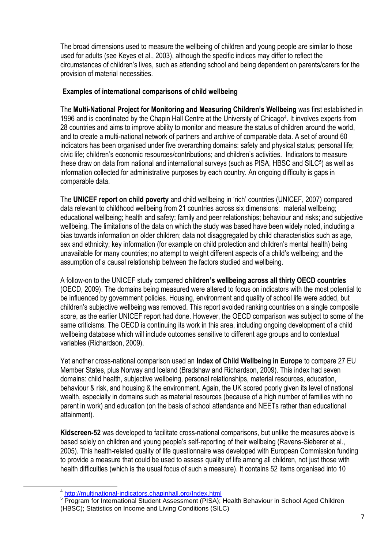The broad dimensions used to measure the wellbeing of children and young people are similar to those used for adults (see Keyes et al., 2003), although the specific indices may differ to reflect the circumstances of children's lives, such as attending school and being dependent on parents/carers for the provision of material necessities.

### **Examples of international comparisons of child wellbeing**

The **Multi-National Project for Monitoring and Measuring Children's Wellbeing** was first established in 1996 and is coordinated by the Chapin Hall Centre at the University of Chicago<sup>4</sup>. It involves experts from 28 countries and aims to improve ability to monitor and measure the status of children around the world, and to create a multi-national network of partners and archive of comparable data. A set of around 60 indicators has been organised under five overarching domains: safety and physical status; personal life; civic life; children's economic resources/contributions; and children's activities. Indicators to measure these draw on data from national and international surveys (such as PISA, HBSC and SILC<sup>5</sup>) as well as information collected for administrative purposes by each country. An ongoing difficulty is gaps in comparable data.

The **UNICEF report on child poverty** and child wellbeing in 'rich' countries (UNICEF, 2007) compared data relevant to childhood wellbeing from 21 countries across six dimensions: material wellbeing; educational wellbeing; health and safety; family and peer relationships; behaviour and risks; and subjective wellbeing. The limitations of the data on which the study was based have been widely noted, including a bias towards information on older children; data not disaggregated by child characteristics such as age, sex and ethnicity; key information (for example on child protection and children's mental health) being unavailable for many countries; no attempt to weight different aspects of a child's wellbeing; and the assumption of a causal relationship between the factors studied and wellbeing.

A follow-on to the UNICEF study compared **children's wellbeing across all thirty OECD countries** (OECD, 2009). The domains being measured were altered to focus on indicators with the most potential to be influenced by government policies. Housing, environment and quality of school life were added, but children's subjective wellbeing was removed. This report avoided ranking countries on a single composite score, as the earlier UNICEF report had done. However, the OECD comparison was subject to some of the same criticisms. The OECD is continuing its work in this area, including ongoing development of a child wellbeing database which will include outcomes sensitive to different age groups and to contextual variables (Richardson, 2009).

Yet another cross-national comparison used an **Index of Child Wellbeing in Europe** to compare 27 EU Member States, plus Norway and Iceland (Bradshaw and Richardson, 2009). This index had seven domains: child health, subjective wellbeing, personal relationships, material resources, education, behaviour & risk, and housing & the environment. Again, the UK scored poorly given its level of national wealth, especially in domains such as material resources (because of a high number of families with no parent in work) and education (on the basis of school attendance and NEETs rather than educational attainment).

**Kidscreen-52** was developed to facilitate cross-national comparisons, but unlike the measures above is based solely on children and young people's self-reporting of their wellbeing (Ravens-Sieberer et al., 2005). This health-related quality of life questionnaire was developed with European Commission funding to provide a measure that could be used to assess quality of life among all children, not just those with health difficulties (which is the usual focus of such a measure). It contains 52 items organised into 10

 $\overline{a}$ 

<sup>4</sup> <http://multinational-indicators.chapinhall.org/Index.html>

<sup>&</sup>lt;sup>5</sup> Program for International Student Assessment (PISA); Health Behaviour in School Aged Children (HBSC); Statistics on Income and Living Conditions (SILC)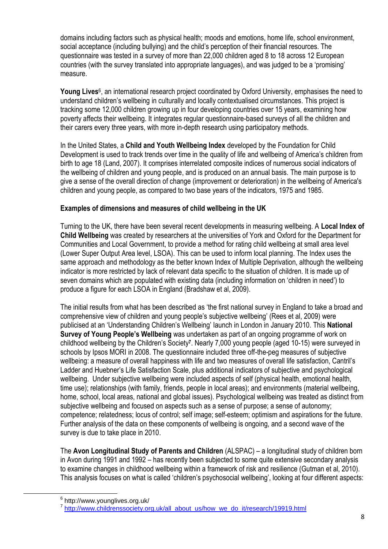domains including factors such as physical health; moods and emotions, home life, school environment, social acceptance (including bullying) and the child's perception of their financial resources. The questionnaire was tested in a survey of more than 22,000 children aged 8 to 18 across 12 European countries (with the survey translated into appropriate languages), and was judged to be a 'promising' measure.

Young Lives<sup>6</sup>, an international research project coordinated by Oxford University, emphasises the need to understand children's wellbeing in culturally and locally contextualised circumstances. This project is tracking some 12,000 children growing up in four developing countries over 15 years, examining how poverty affects their wellbeing. It integrates regular questionnaire-based surveys of all the children and their carers every three years, with more in-depth research using participatory methods.

In the United States, a **Child and Youth Wellbeing Index** developed by the Foundation for Child Development is used to track trends over time in the quality of life and wellbeing of America's children from birth to age 18 (Land, 2007). It comprises interrelated composite indices of numerous social indicators of the wellbeing of children and young people, and is produced on an annual basis. The main purpose is to give a sense of the overall direction of change (improvement or deterioration) in the wellbeing of America's children and young people, as compared to two base years of the indicators, 1975 and 1985.

#### **Examples of dimensions and measures of child wellbeing in the UK**

Turning to the UK, there have been several recent developments in measuring wellbeing. A **Local Index of Child Wellbeing** was created by researchers at the universities of York and Oxford for the Department for Communities and Local Government, to provide a method for rating child wellbeing at small area level (Lower Super Output Area level, LSOA). This can be used to inform local planning. The Index uses the same approach and methodology as the better known Index of Multiple Deprivation, although the wellbeing indicator is more restricted by lack of relevant data specific to the situation of children. It is made up of seven domains which are populated with existing data (including information on 'children in need') to produce a figure for each LSOA in England (Bradshaw et al, 2009).

The initial results from what has been described as 'the first national survey in England to take a broad and comprehensive view of children and young people's subjective wellbeing' (Rees et al, 2009) were publicised at an 'Understanding Children's Wellbeing' launch in London in January 2010. This **National Survey of Young People's Wellbeing** was undertaken as part of an ongoing programme of work on childhood wellbeing by the Children's Society**<sup>7</sup>** . Nearly 7,000 young people (aged 10-15) were surveyed in schools by Ipsos MORI in 2008. The questionnaire included three off-the-peg measures of subjective wellbeing: a measure of overall happiness with life and two measures of overall life satisfaction, Cantril's Ladder and Huebner's Life Satisfaction Scale, plus additional indicators of subjective and psychological wellbeing. Under subjective wellbeing were included aspects of self (physical health, emotional health, time use); relationships (with family, friends, people in local areas); and environments (material wellbeing, home, school, local areas, national and global issues). Psychological wellbeing was treated as distinct from subjective wellbeing and focused on aspects such as a sense of purpose; a sense of autonomy; competence; relatedness; locus of control; self image; self-esteem; optimism and aspirations for the future. Further analysis of the data on these components of wellbeing is ongoing, and a second wave of the survey is due to take place in 2010.

The **Avon Longitudinal Study of Parents and Children** (ALSPAC) – a longitudinal study of children born in Avon during 1991 and 1992 – has recently been subjected to some quite extensive secondary analysis to examine changes in childhood wellbeing within a framework of risk and resilience (Gutman et al, 2010). This analysis focuses on what is called 'children's psychosocial wellbeing', looking at four different aspects:

1

<sup>&</sup>lt;sup>6</sup> http://www.younglives.org.uk/

<sup>&</sup>lt;sup>7</sup> [http://www.childrenssociety.org.uk/all\\_about\\_us/how\\_we\\_do\\_it/research/19919.html](http://www.childrenssociety.org.uk/all_about_us/how_we_do_it/research/19919.html)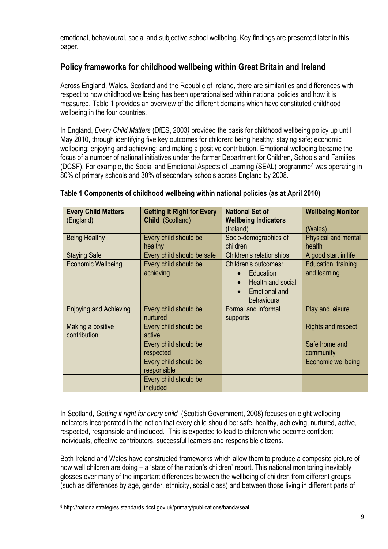emotional, behavioural, social and subjective school wellbeing. Key findings are presented later in this paper.

## **Policy frameworks for childhood wellbeing within Great Britain and Ireland**

Across England, Wales, Scotland and the Republic of Ireland, there are similarities and differences with respect to how childhood wellbeing has been operationalised within national policies and how it is measured. Table 1 provides an overview of the different domains which have constituted childhood wellbeing in the four countries.

In England, *Every Child Matters* (DfES, 2003*)* provided the basis for childhood wellbeing policy up until May 2010, through identifying five key outcomes for children: being healthy; staying safe; economic wellbeing; enjoying and achieving; and making a positive contribution. Emotional wellbeing became the focus of a number of national initiatives under the former Department for Children, Schools and Families (DCSF). For example, the Social and Emotional Aspects of Learning (SEAL) programme<sup>8</sup> was operating in 80% of primary schools and 30% of secondary schools across England by 2008.

| <b>Every Child Matters</b><br>(England) | <b>Getting it Right for Every</b><br>Child (Scotland) | <b>National Set of</b><br><b>Wellbeing Indicators</b><br>(Ireland)                                                      | <b>Wellbeing Monitor</b><br>(Wales) |
|-----------------------------------------|-------------------------------------------------------|-------------------------------------------------------------------------------------------------------------------------|-------------------------------------|
| <b>Being Healthy</b>                    | Every child should be<br>healthy                      | Socio-demographics of<br>children                                                                                       | Physical and mental<br>health       |
| <b>Staying Safe</b>                     | Every child should be safe                            | Children's relationships                                                                                                | A good start in life                |
| <b>Economic Wellbeing</b>               | Every child should be<br>achieving                    | Children's outcomes:<br>Education<br>Health and social<br>$\bullet$<br><b>Emotional and</b><br>$\bullet$<br>behavioural | Education, training<br>and learning |
| <b>Enjoying and Achieving</b>           | Every child should be<br>nurtured                     | Formal and informal<br>supports                                                                                         | Play and leisure                    |
| Making a positive<br>contribution       | Every child should be<br>active                       |                                                                                                                         | <b>Rights and respect</b>           |
|                                         | Every child should be<br>respected                    |                                                                                                                         | Safe home and<br>community          |
|                                         | Every child should be<br>responsible                  |                                                                                                                         | Economic wellbeing                  |
|                                         | Every child should be<br>included                     |                                                                                                                         |                                     |

## **Table 1 Components of childhood wellbeing within national policies (as at April 2010)**

In Scotland, *Getting it right for every child* (Scottish Government, 2008) focuses on eight wellbeing indicators incorporated in the notion that every child should be: safe, healthy, achieving, nurtured, active, respected, responsible and included. This is expected to lead to children who become confident individuals, effective contributors, successful learners and responsible citizens.

Both Ireland and Wales have constructed frameworks which allow them to produce a composite picture of how well children are doing – a 'state of the nation's children' report. This national monitoring inevitably glosses over many of the important differences between the wellbeing of children from different groups (such as differences by age, gender, ethnicity, social class) and between those living in different parts of

 $\overline{a}$ 

<sup>8</sup> http://nationalstrategies.standards.dcsf.gov.uk/primary/publications/banda/seal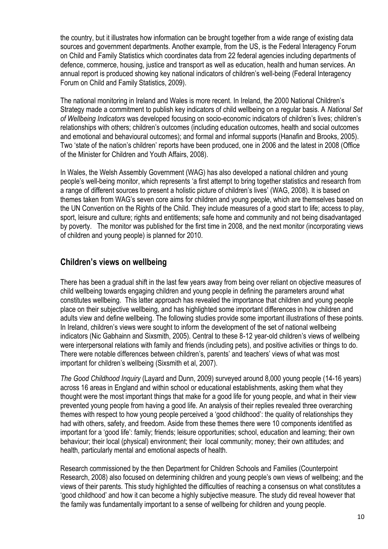the country, but it illustrates how information can be brought together from a wide range of existing data sources and government departments. Another example, from the US, is the Federal Interagency Forum on Child and Family Statistics which coordinates data from 22 federal agencies including departments of defence, commerce, housing, justice and transport as well as education, health and human services. An annual report is produced showing key national indicators of children's well-being (Federal Interagency Forum on Child and Family Statistics, 2009).

The national monitoring in Ireland and Wales is more recent. In Ireland, the 2000 National Children's Strategy made a commitment to publish key indicators of child wellbeing on a regular basis. A *National Set of Wellbeing Indicators* was developed focusing on socio-economic indicators of children's lives; children's relationships with others; children's outcomes (including education outcomes, health and social outcomes and emotional and behavioural outcomes); and formal and informal supports (Hanafin and Brooks, 2005). Two 'state of the nation's children' reports have been produced, one in 2006 and the latest in 2008 (Office of the Minister for Children and Youth Affairs, 2008).

In Wales, the Welsh Assembly Government (WAG) has also developed a national children and young people's well-being monitor, which represents 'a first attempt to bring together statistics and research from a range of different sources to present a holistic picture of children's lives' (WAG, 2008). It is based on themes taken from WAG's seven core aims for children and young people, which are themselves based on the UN Convention on the Rights of the Child. They include measures of a good start to life; access to play, sport, leisure and culture; rights and entitlements; safe home and community and not being disadvantaged by poverty. The monitor was published for the first time in 2008, and the next monitor (incorporating views of children and young people) is planned for 2010.

## **Children's views on wellbeing**

There has been a gradual shift in the last few years away from being over reliant on objective measures of child wellbeing towards engaging children and young people in defining the parameters around what constitutes wellbeing. This latter approach has revealed the importance that children and young people place on their subjective wellbeing, and has highlighted some important differences in how children and adults view and define wellbeing. The following studies provide some important illustrations of these points. In Ireland, children's views were sought to inform the development of the set of national wellbeing indicators (Nic Gabhainn and Sixsmith, 2005). Central to these 8-12 year-old children's views of wellbeing were interpersonal relations with family and friends (including pets), and positive activities or things to do. There were notable differences between children's, parents' and teachers' views of what was most important for children's wellbeing (Sixsmith et al, 2007).

*The Good Childhood Inquiry* (Layard and Dunn, 2009) surveyed around 8,000 young people (14-16 years) across 16 areas in England and within school or educational establishments, asking them what they thought were the most important things that make for a good life for young people, and what in their view prevented young people from having a good life. An analysis of their replies revealed three overarching themes with respect to how young people perceived a 'good childhood': the quality of relationships they had with others, safety, and freedom. Aside from these themes there were 10 components identified as important for a 'good life': family; friends; leisure opportunities; school, education and learning; their own behaviour; their local (physical) environment; their local community; money; their own attitudes; and health, particularly mental and emotional aspects of health.

Research commissioned by the then Department for Children Schools and Families (Counterpoint Research, 2008) also focused on determining children and young people's own views of wellbeing; and the views of their parents. This study highlighted the difficulties of reaching a consensus on what constitutes a 'good childhood' and how it can become a highly subjective measure. The study did reveal however that the family was fundamentally important to a sense of wellbeing for children and young people.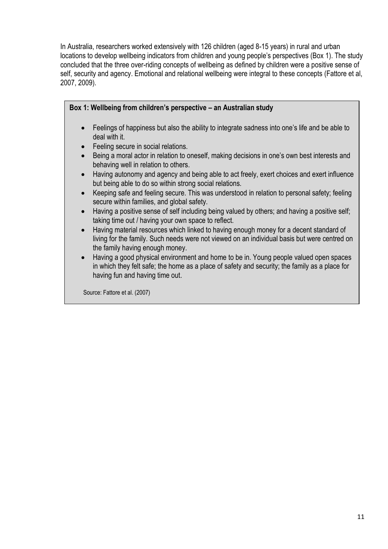In Australia, researchers worked extensively with 126 children (aged 8-15 years) in rural and urban locations to develop wellbeing indicators from children and young people's perspectives (Box 1). The study concluded that the three over-riding concepts of wellbeing as defined by children were a positive sense of self, security and agency. Emotional and relational wellbeing were integral to these concepts (Fattore et al, 2007, 2009).

| Box 1: Wellbeing from children's perspective – an Australian study                                                                                                                                                         |  |  |
|----------------------------------------------------------------------------------------------------------------------------------------------------------------------------------------------------------------------------|--|--|
| Feelings of happiness but also the ability to integrate sadness into one's life and be able to<br>deal with it.                                                                                                            |  |  |
| Feeling secure in social relations.                                                                                                                                                                                        |  |  |
| Being a moral actor in relation to oneself, making decisions in one's own best interests and<br>$\bullet$<br>behaving well in relation to others.                                                                          |  |  |
| Having autonomy and agency and being able to act freely, exert choices and exert influence<br>$\bullet$<br>but being able to do so within strong social relations.                                                         |  |  |
| Keeping safe and feeling secure. This was understood in relation to personal safety; feeling<br>secure within families, and global safety.                                                                                 |  |  |
| Having a positive sense of self including being valued by others; and having a positive self;<br>$\bullet$<br>taking time out / having your own space to reflect.                                                          |  |  |
| Having material resources which linked to having enough money for a decent standard of<br>living for the family. Such needs were not viewed on an individual basis but were centred on<br>the family having enough money.  |  |  |
| Having a good physical environment and home to be in. Young people valued open spaces<br>in which they felt safe; the home as a place of safety and security; the family as a place for<br>having fun and having time out. |  |  |
| Source: Fattore et al. (2007)                                                                                                                                                                                              |  |  |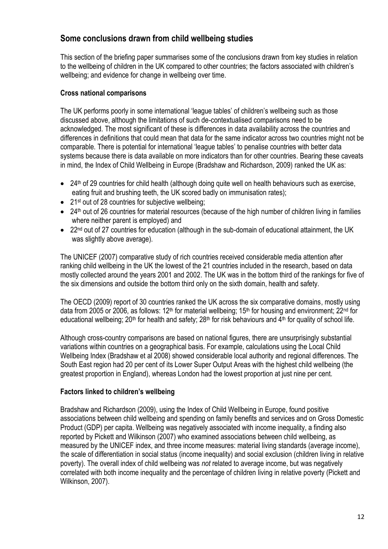## **Some conclusions drawn from child wellbeing studies**

This section of the briefing paper summarises some of the conclusions drawn from key studies in relation to the wellbeing of children in the UK compared to other countries; the factors associated with children's wellbeing; and evidence for change in wellbeing over time.

#### **Cross national comparisons**

The UK performs poorly in some international 'league tables' of children's wellbeing such as those discussed above, although the limitations of such de-contextualised comparisons need to be acknowledged. The most significant of these is differences in data availability across the countries and differences in definitions that could mean that data for the same indicator across two countries might not be comparable. There is potential for international 'league tables' to penalise countries with better data systems because there is data available on more indicators than for other countries. Bearing these caveats in mind, the Index of Child Wellbeing in Europe (Bradshaw and Richardson, 2009) ranked the UK as:

- 24<sup>th</sup> of 29 countries for child health (although doing quite well on health behaviours such as exercise, eating fruit and brushing teeth, the UK scored badly on immunisation rates);
- 21<sup>st</sup> out of 28 countries for subjective wellbeing;
- 24<sup>th</sup> out of 26 countries for material resources (because of the high number of children living in families where neither parent is employed) and
- 22<sup>nd</sup> out of 27 countries for education (although in the sub-domain of educational attainment, the UK was slightly above average).

The UNICEF (2007) comparative study of rich countries received considerable media attention after ranking child wellbeing in the UK the lowest of the 21 countries included in the research, based on data mostly collected around the years 2001 and 2002. The UK was in the bottom third of the rankings for five of the six dimensions and outside the bottom third only on the sixth domain, health and safety.

The OECD (2009) report of 30 countries ranked the UK across the six comparative domains, mostly using data from 2005 or 2006, as follows:  $12<sup>th</sup>$  for material wellbeing;  $15<sup>th</sup>$  for housing and environment;  $22<sup>nd</sup>$  for educational wellbeing; 20<sup>th</sup> for health and safety; 28<sup>th</sup> for risk behaviours and 4<sup>th</sup> for quality of school life.

Although cross-country comparisons are based on national figures, there are unsurprisingly substantial variations within countries on a geographical basis. For example, calculations using the Local Child Wellbeing Index (Bradshaw et al 2008) showed considerable local authority and regional differences. The South East region had 20 per cent of its Lower Super Output Areas with the highest child wellbeing (the greatest proportion in England), whereas London had the lowest proportion at just nine per cent.

#### **Factors linked to children's wellbeing**

Bradshaw and Richardson (2009), using the Index of Child Wellbeing in Europe, found positive associations between child wellbeing and spending on family benefits and services and on Gross Domestic Product (GDP) per capita. Wellbeing was negatively associated with income inequality, a finding also reported by Pickett and Wilkinson (2007) who examined associations between child wellbeing, as measured by the UNICEF index, and three income measures: material living standards (average income), the scale of differentiation in social status (income inequality) and social exclusion (children living in relative poverty). The overall index of child wellbeing was *not* related to average income, but was negatively correlated with both income inequality and the percentage of children living in relative poverty (Pickett and Wilkinson, 2007).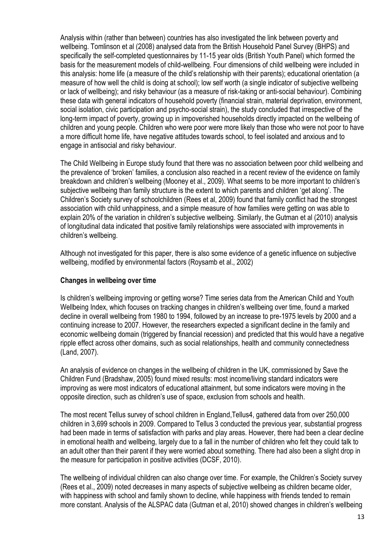Analysis within (rather than between) countries has also investigated the link between poverty and wellbeing. Tomlinson et al (2008) analysed data from the British Household Panel Survey (BHPS) and specifically the self-completed questionnaires by 11-15 year olds (British Youth Panel) which formed the basis for the measurement models of child-wellbeing. Four dimensions of child wellbeing were included in this analysis: home life (a measure of the child's relationship with their parents); educational orientation (a measure of how well the child is doing at school); low self worth (a single indicator of subjective wellbeing or lack of wellbeing); and risky behaviour (as a measure of risk-taking or anti-social behaviour). Combining these data with general indicators of household poverty (financial strain, material deprivation, environment, social isolation, civic participation and psycho-social strain), the study concluded that irrespective of the long-term impact of poverty, growing up in impoverished households directly impacted on the wellbeing of children and young people. Children who were poor were more likely than those who were not poor to have a more difficult home life, have negative attitudes towards school, to feel isolated and anxious and to engage in antisocial and risky behaviour.

The Child Wellbeing in Europe study found that there was no association between poor child wellbeing and the prevalence of 'broken' families, a conclusion also reached in a recent review of the evidence on family breakdown and children's wellbeing (Mooney et al., 2009). What seems to be more important to children's subjective wellbeing than family structure is the extent to which parents and children 'get along'. The Children's Society survey of schoolchildren (Rees et al, 2009) found that family conflict had the strongest association with child unhappiness, and a simple measure of how families were getting on was able to explain 20% of the variation in children's subjective wellbeing. Similarly, the Gutman et al (2010) analysis of longitudinal data indicated that positive family relationships were associated with improvements in children's wellbeing.

Although not investigated for this paper, there is also some evidence of a genetic influence on subjective wellbeing, modified by environmental factors (Roysamb et al., 2002)

#### **Changes in wellbeing over time**

Is children's wellbeing improving or getting worse? Time series data from the American Child and Youth Wellbeing Index, which focuses on tracking changes in children's wellbeing over time, found a marked decline in overall wellbeing from 1980 to 1994, followed by an increase to pre-1975 levels by 2000 and a continuing increase to 2007. However, the researchers expected a significant decline in the family and economic wellbeing domain (triggered by financial recession) and predicted that this would have a negative ripple effect across other domains, such as social relationships, health and community connectedness (Land, 2007).

An analysis of evidence on changes in the wellbeing of children in the UK, commissioned by Save the Children Fund (Bradshaw, 2005) found mixed results: most income/living standard indicators were improving as were most indicators of educational attainment, but some indicators were moving in the opposite direction, such as children's use of space, exclusion from schools and health.

The most recent Tellus survey of school children in England,Tellus4, gathered data from over 250,000 children in 3,699 schools in 2009. Compared to Tellus 3 conducted the previous year, substantial progress had been made in terms of satisfaction with parks and play areas. However, there had been a clear decline in emotional health and wellbeing, largely due to a fall in the number of children who felt they could talk to an adult other than their parent if they were worried about something. There had also been a slight drop in the measure for participation in positive activities (DCSF, 2010).

The wellbeing of individual children can also change over time. For example, the Children's Society survey (Rees et al., 2009) noted decreases in many aspects of subjective wellbeing as children became older, with happiness with school and family shown to decline, while happiness with friends tended to remain more constant. Analysis of the ALSPAC data (Gutman et al, 2010) showed changes in children's wellbeing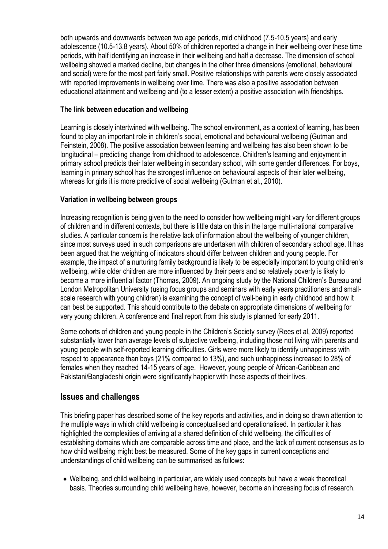both upwards and downwards between two age periods, mid childhood (7.5-10.5 years) and early adolescence (10.5-13.8 years). About 50% of children reported a change in their wellbeing over these time periods, with half identifying an increase in their wellbeing and half a decrease. The dimension of school wellbeing showed a marked decline, but changes in the other three dimensions (emotional, behavioural and social) were for the most part fairly small. Positive relationships with parents were closely associated with reported improvements in wellbeing over time. There was also a positive association between educational attainment and wellbeing and (to a lesser extent) a positive association with friendships.

### **The link between education and wellbeing**

Learning is closely intertwined with wellbeing. The school environment, as a context of learning, has been found to play an important role in children's social, emotional and behavioural wellbeing (Gutman and Feinstein, 2008). The positive association between learning and wellbeing has also been shown to be longitudinal – predicting change from childhood to adolescence. Children's learning and enjoyment in primary school predicts their later wellbeing in secondary school, with some gender differences. For boys, learning in primary school has the strongest influence on behavioural aspects of their later wellbeing, whereas for girls it is more predictive of social wellbeing (Gutman et al., 2010).

## **Variation in wellbeing between groups**

Increasing recognition is being given to the need to consider how wellbeing might vary for different groups of children and in different contexts, but there is little data on this in the large multi-national comparative studies. A particular concern is the relative lack of information about the wellbeing of younger children, since most surveys used in such comparisons are undertaken with children of secondary school age. It has been argued that the weighting of indicators should differ between children and young people. For example, the impact of a nurturing family background is likely to be especially important to young children's wellbeing, while older children are more influenced by their peers and so relatively poverty is likely to become a more influential factor (Thomas, 2009). An ongoing study by the National Children's Bureau and London Metropolitan University (using focus groups and seminars with early years practitioners and smallscale research with young children) is examining the concept of well-being in early childhood and how it can best be supported. This should contribute to the debate on appropriate dimensions of wellbeing for very young children. A conference and final report from this study is planned for early 2011.

Some cohorts of children and young people in the Children's Society survey (Rees et al, 2009) reported substantially lower than average levels of subjective wellbeing, including those not living with parents and young people with self-reported learning difficulties. Girls were more likely to identify unhappiness with respect to appearance than boys (21% compared to 13%), and such unhappiness increased to 28% of females when they reached 14-15 years of age. However, young people of African-Caribbean and Pakistani/Bangladeshi origin were significantly happier with these aspects of their lives.

## **Issues and challenges**

This briefing paper has described some of the key reports and activities, and in doing so drawn attention to the multiple ways in which child wellbeing is conceptualised and operationalised. In particular it has highlighted the complexities of arriving at a shared definition of child wellbeing, the difficulties of establishing domains which are comparable across time and place, and the lack of current consensus as to how child wellbeing might best be measured. Some of the key gaps in current conceptions and understandings of child wellbeing can be summarised as follows:

 Wellbeing, and child wellbeing in particular, are widely used concepts but have a weak theoretical basis. Theories surrounding child wellbeing have, however, become an increasing focus of research.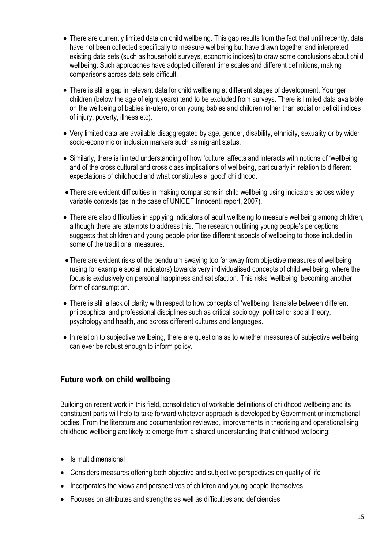- There are currently limited data on child wellbeing. This gap results from the fact that until recently, data have not been collected specifically to measure wellbeing but have drawn together and interpreted existing data sets (such as household surveys, economic indices) to draw some conclusions about child wellbeing. Such approaches have adopted different time scales and different definitions, making comparisons across data sets difficult.
- There is still a gap in relevant data for child wellbeing at different stages of development. Younger children (below the age of eight years) tend to be excluded from surveys. There is limited data available on the wellbeing of babies in-utero, or on young babies and children (other than social or deficit indices of injury, poverty, illness etc).
- Very limited data are available disaggregated by age, gender, disability, ethnicity, sexuality or by wider socio-economic or inclusion markers such as migrant status.
- Similarly, there is limited understanding of how 'culture' affects and interacts with notions of 'wellbeing' and of the cross cultural and cross class implications of wellbeing, particularly in relation to different expectations of childhood and what constitutes a 'good' childhood.
- There are evident difficulties in making comparisons in child wellbeing using indicators across widely variable contexts (as in the case of UNICEF Innocenti report, 2007).
- There are also difficulties in applying indicators of adult wellbeing to measure wellbeing among children, although there are attempts to address this. The research outlining young people's perceptions suggests that children and young people prioritise different aspects of wellbeing to those included in some of the traditional measures.
- There are evident risks of the pendulum swaying too far away from objective measures of wellbeing (using for example social indicators) towards very individualised concepts of child wellbeing, where the focus is exclusively on personal happiness and satisfaction. This risks 'wellbeing' becoming another form of consumption.
- There is still a lack of clarity with respect to how concepts of 'wellbeing' translate between different philosophical and professional disciplines such as critical sociology, political or social theory, psychology and health, and across different cultures and languages.
- In relation to subjective wellbeing, there are questions as to whether measures of subjective wellbeing can ever be robust enough to inform policy.

## **Future work on child wellbeing**

Building on recent work in this field, consolidation of workable definitions of childhood wellbeing and its constituent parts will help to take forward whatever approach is developed by Government or international bodies. From the literature and documentation reviewed, improvements in theorising and operationalising childhood wellbeing are likely to emerge from a shared understanding that childhood wellbeing:

- Is multidimensional
- Considers measures offering both objective and subjective perspectives on quality of life
- Incorporates the views and perspectives of children and young people themselves
- Focuses on attributes and strengths as well as difficulties and deficiencies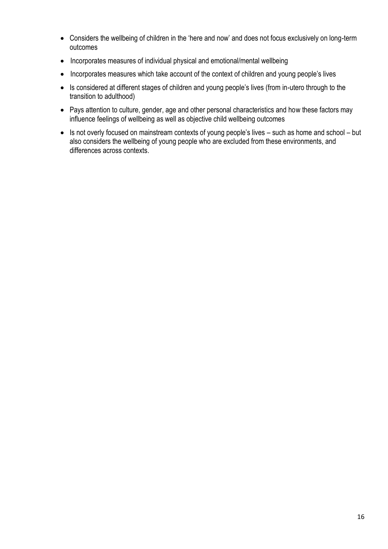- Considers the wellbeing of children in the 'here and now' and does not focus exclusively on long-term outcomes
- Incorporates measures of individual physical and emotional/mental wellbeing
- Incorporates measures which take account of the context of children and young people's lives
- Is considered at different stages of children and young people's lives (from in-utero through to the transition to adulthood)
- Pays attention to culture, gender, age and other personal characteristics and how these factors may influence feelings of wellbeing as well as objective child wellbeing outcomes
- Is not overly focused on mainstream contexts of young people's lives such as home and school but also considers the wellbeing of young people who are excluded from these environments, and differences across contexts.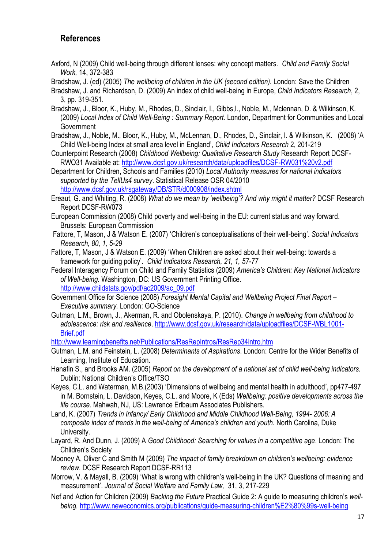## **References**

Axford, N (2009) Child well-being through different lenses: why concept matters. *Child and Family Social Work,* 14, 372-383

Bradshaw, J. (ed) (2005) *The wellbeing of children in the UK (second edition).* London: Save the Children

- Bradshaw, J. and Richardson, D. (2009) An index of child well-being in Europe, *Child Indicators Research*, 2, 3, pp. 319-351.
- Bradshaw, J., Bloor, K., Huby, M., Rhodes, D., Sinclair, I., Gibbs,I., Noble, M., Mclennan, D. & Wilkinson, K. (2009) *Local Index of Child Well-Being : Summary Report.* London, Department for Communities and Local **Government**
- Bradshaw, J., Noble, M., Bloor, K., Huby, M., McLennan, D., Rhodes, D., Sinclair, I. & Wilkinson, K. (2008) 'A Child Well-being Index at small area level in England', *Child Indicators Research* 2, 201-219
- Counterpoint Research (2008) *Childhood Wellbeing: Qualitative Research Study* Research Report DCSF-RWO31 Available at:<http://www.dcsf.gov.uk/research/data/uploadfiles/DCSF-RW031%20v2.pdf>
- Department for Children, Schools and Families (2010) *Local Authority measures for national indicators supported by the TellUs4 survey*. Statistical Release OSR 04/2010

<http://www.dcsf.gov.uk/rsgateway/DB/STR/d000908/index.shtml>

- Ereaut, G. and Whiting, R. (2008) *What do we mean by 'wellbeing'? And why might it matter?* DCSF Research Report DCSF-RW073
- European Commission (2008) Child poverty and well-being in the EU: current status and way forward. Brussels: European Commission
- Fattore, T, Mason, J & Watson E. (2007) 'Children's conceptualisations of their well-being'. *Social Indicators Research, 80, 1, 5-29*
- Fattore, T, Mason, J & Watson E. (2009) 'When Children are asked about their well-being: towards a framework for guiding policy'. *Child Indicators Research, 21, 1, 57-77*
- Federal Interagency Forum on Child and Family Statistics (2009) *America's Children: Key National Indicators of Well-being.* Washington, DC: US Government Printing Office. [http://www.childstats.gov/pdf/ac2009/ac\\_09.pdf](http://www.childstats.gov/pdf/ac2009/ac_09.pdf)
- Government Office for Science (2008) *Foresight Mental Capital and Wellbeing Project Final Report – Executive summary.* London: GO-Science
- Gutman, L.M., Brown, J., Akerman, R. and Obolenskaya, P. (2010). *Change in wellbeing from childhood to adolescence: risk and resilience*[. http://www.dcsf.gov.uk/research/data/uploadfiles/DCSF-WBL1001-](http://www.dcsf.gov.uk/research/data/uploadfiles/DCSF-WBL1001-Brief.pdf) **Brief ndf**

<http://www.learningbenefits.net/Publications/ResRepIntros/ResRep34intro.htm>

- Gutman, L.M. and Feinstein, L. (2008) *Determinants of Aspirations*. London: Centre for the Wider Benefits of Learning, Institute of Education.
- Hanafin S., and Brooks AM. (2005) *Report on the development of a national set of child well-being indicators.* Dublin: National Children's Office/TSO
- Keyes, C.L. and Waterman, M.B.(2003) 'Dimensions of wellbeing and mental health in adulthood', pp477-497 in M. Bornstein, L. Davidson, Keyes, C.L. and Moore, K (Eds) *Wellbeing: positive developments across the life course.* Mahwah, NJ, US: Lawrence Erlbaum Associates Publishers.
- Land, K. (2007) *Trends in Infancy/ Early Childhood and Middle Childhood Well-Being, 1994- 2006: A composite index of trends in the well-being of America's children and youth.* North Carolina, Duke University.
- Layard, R. And Dunn, J. (2009) A *Good Childhood: Searching for values in a competitive age*. London: The Children's Society
- Mooney A, Oliver C and Smith M (2009) *The impact of family breakdown on children's wellbeing: evidence review*. DCSF Research Report DCSF-RR113
- Morrow, V. & Mayall, B. (2009) 'What is wrong with children's well-being in the UK? Questions of meaning and measurement'. *Journal of Social Welfare and Family Law,* 31, 3, 217-229
- Nef and Action for Children (2009) *Backing the Future* Practical Guide 2: A guide to measuring children's *wellbeing.* <http://www.neweconomics.org/publications/guide-measuring-children%E2%80%99s-well-being>